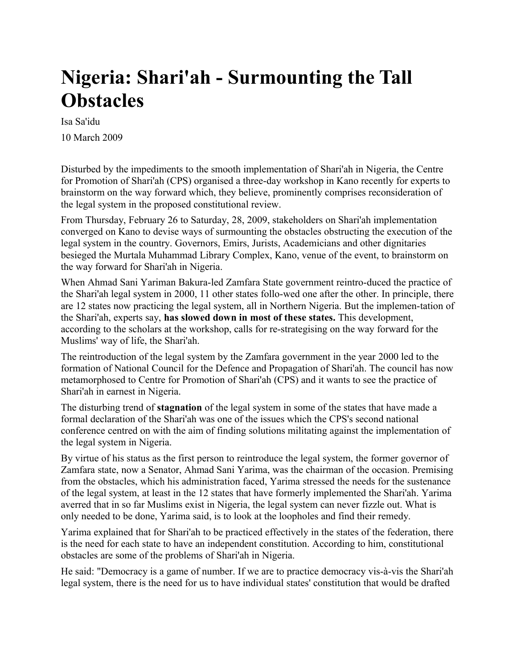## **Nigeria: Shari'ah - Surmounting the Tall Obstacles**

Isa Sa'idu 10 March 2009

Disturbed by the impediments to the smooth implementation of Shari'ah in Nigeria, the Centre for Promotion of Shari'ah (CPS) organised a three-day workshop in Kano recently for experts to brainstorm on the way forward which, they believe, prominently comprises reconsideration of the legal system in the proposed constitutional review.

From Thursday, February 26 to Saturday, 28, 2009, stakeholders on Shari'ah implementation converged on Kano to devise ways of surmounting the obstacles obstructing the execution of the legal system in the country. Governors, Emirs, Jurists, Academicians and other dignitaries besieged the Murtala Muhammad Library Complex, Kano, venue of the event, to brainstorm on the way forward for Shari'ah in Nigeria.

When Ahmad Sani Yariman Bakura-led Zamfara State government reintro-duced the practice of the Shari'ah legal system in 2000, 11 other states follo-wed one after the other. In principle, there are 12 states now practicing the legal system, all in Northern Nigeria. But the implemen-tation of the Shari'ah, experts say, **has slowed down in most of these states.** This development, according to the scholars at the workshop, calls for re-strategising on the way forward for the Muslims' way of life, the Shari'ah.

The reintroduction of the legal system by the Zamfara government in the year 2000 led to the formation of National Council for the Defence and Propagation of Shari'ah. The council has now metamorphosed to Centre for Promotion of Shari'ah (CPS) and it wants to see the practice of Shari'ah in earnest in Nigeria.

The disturbing trend of **stagnation** of the legal system in some of the states that have made a formal declaration of the Shari'ah was one of the issues which the CPS's second national conference centred on with the aim of finding solutions militating against the implementation of the legal system in Nigeria.

By virtue of his status as the first person to reintroduce the legal system, the former governor of Zamfara state, now a Senator, Ahmad Sani Yarima, was the chairman of the occasion. Premising from the obstacles, which his administration faced, Yarima stressed the needs for the sustenance of the legal system, at least in the 12 states that have formerly implemented the Shari'ah. Yarima averred that in so far Muslims exist in Nigeria, the legal system can never fizzle out. What is only needed to be done, Yarima said, is to look at the loopholes and find their remedy.

Yarima explained that for Shari'ah to be practiced effectively in the states of the federation, there is the need for each state to have an independent constitution. According to him, constitutional obstacles are some of the problems of Shari'ah in Nigeria.

He said: "Democracy is a game of number. If we are to practice democracy vis-à-vis the Shari'ah legal system, there is the need for us to have individual states' constitution that would be drafted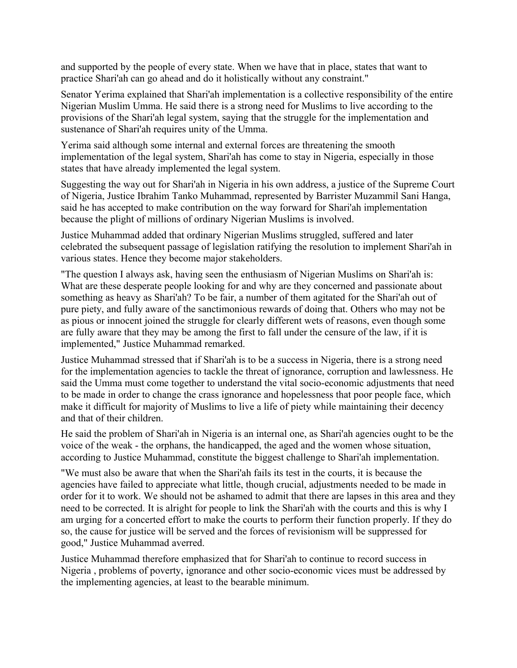and supported by the people of every state. When we have that in place, states that want to practice Shari'ah can go ahead and do it holistically without any constraint."

Senator Yerima explained that Shari'ah implementation is a collective responsibility of the entire Nigerian Muslim Umma. He said there is a strong need for Muslims to live according to the provisions of the Shari'ah legal system, saying that the struggle for the implementation and sustenance of Shari'ah requires unity of the Umma.

Yerima said although some internal and external forces are threatening the smooth implementation of the legal system, Shari'ah has come to stay in Nigeria, especially in those states that have already implemented the legal system.

Suggesting the way out for Shari'ah in Nigeria in his own address, a justice of the Supreme Court of Nigeria, Justice Ibrahim Tanko Muhammad, represented by Barrister Muzammil Sani Hanga, said he has accepted to make contribution on the way forward for Shari'ah implementation because the plight of millions of ordinary Nigerian Muslims is involved.

Justice Muhammad added that ordinary Nigerian Muslims struggled, suffered and later celebrated the subsequent passage of legislation ratifying the resolution to implement Shari'ah in various states. Hence they become major stakeholders.

"The question I always ask, having seen the enthusiasm of Nigerian Muslims on Shari'ah is: What are these desperate people looking for and why are they concerned and passionate about something as heavy as Shari'ah? To be fair, a number of them agitated for the Shari'ah out of pure piety, and fully aware of the sanctimonious rewards of doing that. Others who may not be as pious or innocent joined the struggle for clearly different wets of reasons, even though some are fully aware that they may be among the first to fall under the censure of the law, if it is implemented," Justice Muhammad remarked.

Justice Muhammad stressed that if Shari'ah is to be a success in Nigeria, there is a strong need for the implementation agencies to tackle the threat of ignorance, corruption and lawlessness. He said the Umma must come together to understand the vital socio-economic adjustments that need to be made in order to change the crass ignorance and hopelessness that poor people face, which make it difficult for majority of Muslims to live a life of piety while maintaining their decency and that of their children.

He said the problem of Shari'ah in Nigeria is an internal one, as Shari'ah agencies ought to be the voice of the weak - the orphans, the handicapped, the aged and the women whose situation, according to Justice Muhammad, constitute the biggest challenge to Shari'ah implementation.

"We must also be aware that when the Shari'ah fails its test in the courts, it is because the agencies have failed to appreciate what little, though crucial, adjustments needed to be made in order for it to work. We should not be ashamed to admit that there are lapses in this area and they need to be corrected. It is alright for people to link the Shari'ah with the courts and this is why I am urging for a concerted effort to make the courts to perform their function properly. If they do so, the cause for justice will be served and the forces of revisionism will be suppressed for good," Justice Muhammad averred.

Justice Muhammad therefore emphasized that for Shari'ah to continue to record success in Nigeria , problems of poverty, ignorance and other socio-economic vices must be addressed by the implementing agencies, at least to the bearable minimum.